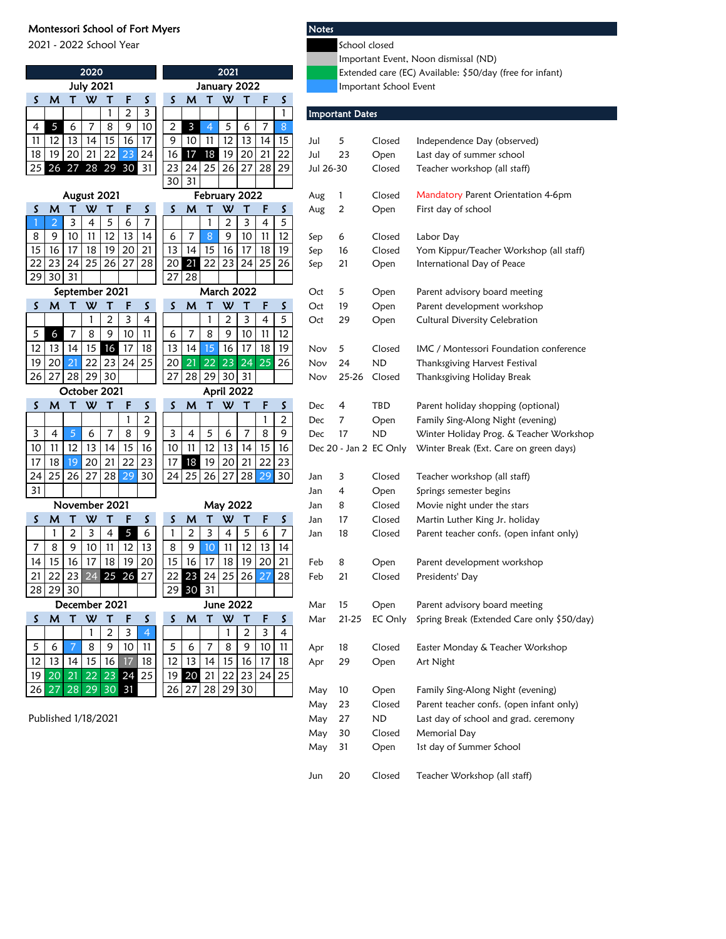## Montessori School of Fort Myers Notes

2021 - 2022 School Year School closed

|    |                     |                | 2020                |              |              |                         |              |                |                | 2021              |        |                     |                        |            |                        |                        | Extended care (EC) Available: \$50/day (free for infant) |
|----|---------------------|----------------|---------------------|--------------|--------------|-------------------------|--------------|----------------|----------------|-------------------|--------|---------------------|------------------------|------------|------------------------|------------------------|----------------------------------------------------------|
|    |                     |                | <b>July 2021</b>    |              |              |                         | January 2022 |                |                |                   |        |                     | Important School Event |            |                        |                        |                                                          |
| S  | M                   |                | T W                 | Т            | F            | S                       | S            | M              | Т              | W                 | $\top$ | F                   | S                      |            |                        |                        |                                                          |
|    |                     |                |                     | 1            | 2            | 3                       |              |                |                |                   |        |                     | 1                      |            | <b>Important Dates</b> |                        |                                                          |
| 4  | 5                   | 6              | 7                   | 8            | 9            | 10                      | 2            | $\mathbf{3}$   | $\overline{4}$ | 5                 | 6      | 7                   | 8                      |            |                        |                        |                                                          |
| 11 | 12                  | 13             | 14                  | 15           | 16           | 17                      | 9            | 10             | 11             | $\overline{12}$   | 13     | 14                  | 15                     | Jul        | 5                      | Closed                 | Independence Day (observed)                              |
| 18 | 19                  | 20             | 21                  | 22           | 23           | 24                      | 16           | 17             | 18             | 19                | 20     | 21                  | 22                     | Jul        | 23                     | Open                   | Last day of summer school                                |
| 25 |                     | 26 27 28 29 30 |                     |              |              | 31                      | 23           | 24             | 25             | 26                | 27     | 28                  | 29                     | Jul 26-30  |                        | Closed                 | Teacher workshop (all staff)                             |
|    |                     |                |                     |              |              |                         | 30           | 31             |                |                   |        |                     |                        |            |                        |                        |                                                          |
|    |                     | August 2021    |                     |              |              |                         |              |                |                | February 2022     |        |                     |                        | Aug        | 1                      | Closed                 | Mandatory Parent Orientation 4-6pm                       |
| S  | M<br>$\overline{2}$ | Т<br>3         | W<br>$\overline{4}$ | т<br>5       | F<br>6       | S<br>$\overline{7}$     | S            | M              | т<br>1         | W<br>2            | т<br>3 | F<br>$\overline{4}$ | S<br>5                 | Aug        | 2                      | Open                   | First day of school                                      |
| 8  | 9                   | 10             | 11                  | 12           | 13           | 14                      | 6            | $\overline{7}$ | 8              | 9                 | 10     | 11                  | 12                     |            | 6                      | Closed                 | Labor Day                                                |
| 15 | 16                  | 17             | 18                  | 19           | 20           | 21                      | 13           | 14             | 15             | 16                | 17     | 18                  | 19                     | Sep<br>Sep | 16                     | Closed                 | Yom Kippur/Teacher Workshop (all staff)                  |
| 22 | 23                  | 24             | 25                  | 26           | 27           | 28                      | 20           | 21             | 22             | 23                | 24     | 25                  | 26                     | Sep        | 21                     | Open                   | International Day of Peace                               |
| 29 | 30                  | 31             |                     |              |              |                         | 27           | 28             |                |                   |        |                     |                        |            |                        |                        |                                                          |
|    |                     | September 2021 |                     |              |              |                         |              |                |                | <b>March 2022</b> |        |                     |                        | Oct        | 5                      | Open                   | Parent advisory board meeting                            |
| S. | M                   | Т              | W                   | Τ            | F            | S                       | S            | M              | Т              | W                 | т      | F                   | S                      | Oct        | 19                     | Open                   | Parent development workshop                              |
|    |                     |                | $\mathbf{1}$        | 2            | 3            | $\overline{\mathbf{4}}$ |              |                | 1              | 2                 | 3      | 4                   | 5                      | Oct        | 29                     | Open                   | Cultural Diversity Celebration                           |
| 5  | 6                   | 7              | 8                   | 9            | 10           | 11                      | 6            | $\overline{7}$ | 8              | 9                 | 10     | 11                  | 12                     |            |                        |                        |                                                          |
| 12 | 13                  | 14             | 15                  | 16           | 17           | 18                      | 13           | 14             | 15             | 16                | 17     | 18                  | 19                     | Nov        | 5                      | Closed                 | IMC / Montessori Foundation conference                   |
| 19 | 20                  | 21             | 22                  | 23           | 24           | 25                      | 20           | 21             | 22             | 23                | 24     | 25                  | 26                     | Nov        | 24                     | <b>ND</b>              | Thanksgiving Harvest Festival                            |
| 26 | 27                  | 28             | 29                  | 30           |              |                         | 27           | 28             | 29             | 30                | 31     |                     |                        | Nov        | 25-26                  | Closed                 | Thanksgiving Holiday Break                               |
|    |                     | October 2021   |                     |              |              |                         |              |                |                | April 2022        |        |                     |                        |            |                        |                        |                                                          |
| S  | M                   | Τ              | W                   | Τ            | F            | S                       | S            | M              | т              | W                 | Т      | F                   | S                      | Dec        | 4                      | TBD                    | Parent holiday shopping (optional)                       |
|    |                     |                |                     |              | $\mathbf{1}$ | 2                       |              |                |                |                   |        | $\mathbf{1}$        | 2                      | Dec        | 7                      | Open                   | Family Sing-Along Night (evening)                        |
| 3  | $\overline{4}$      | 5              | 6                   | 7            | 8            | 9                       | 3            | $\overline{4}$ | 5              | 6                 | 7      | 8                   | 9                      | Dec        | 17                     | <b>ND</b>              | Winter Holiday Prog. & Teacher Worksho                   |
| 10 | 11                  | 12             | 13                  | 14           | 15           | 16                      | 10           | 11             | 12             | 13                | 14     | 15                  | 16                     |            |                        | Dec 20 - Jan 2 EC Only | Winter Break (Ext. Care on green days)                   |
| 17 | 18                  | 19             | 20                  | 21           | 22           | 23                      | 17           | 18             | 19             | 20                | 21     | 22                  | 23                     |            |                        |                        |                                                          |
| 24 | 25                  | 26             | 27                  | 28           | 29           | 30                      | 24           | 25             | 26             | 27                | 28     | 29                  | 30                     | Jan        | 3                      | Closed                 | Teacher workshop (all staff)                             |
| 31 |                     |                |                     |              |              |                         |              |                |                |                   |        |                     |                        | Jan        | 4                      | Open                   | Springs semester begins                                  |
|    |                     | November 2021  |                     |              |              |                         |              |                |                | May 2022          |        |                     |                        | Jan        | 8                      | Closed                 | Movie night under the stars                              |
| S. | M                   | $\mathsf T$    | W                   | Т            | F            | S                       | S            | M              |                | W                 | т      | F                   | S                      | Jan        | 17                     | Closed                 | Martin Luther King Jr. holiday                           |
|    | 1                   | 2              | 3                   | 4            | 5            | 6                       | 1            | 2              | 3              | 4                 | 5      | 6                   | 7                      | Jan        | 18                     | Closed                 | Parent teacher confs. (open infant only)                 |
| 7  | 8                   | 9              | 10                  | 11           | 12           | 13                      | 8            | 9              | 10             | 11                | 12     | 13                  | 14                     |            |                        |                        |                                                          |
| 14 | 15                  | 16             | 17                  | 18           | 19           | 20                      | 15           | 16             | 17             | 18                | 19     | 20                  | 21                     | Feb        | 8                      | Open                   | Parent development workshop                              |
| 21 | 22                  | 23             | 24                  | 25           | 26           | 27                      | 22           | 23             | 24             | 25                | 26     | 27                  | 28                     | Feb        | 21                     | Closed                 | Presidents' Day                                          |
| 28 | 29                  | 30             |                     |              |              |                         |              | 29 30          | 31             |                   |        |                     |                        |            |                        |                        |                                                          |
|    |                     | December 2021  |                     |              |              |                         |              |                |                | June 2022         |        |                     |                        | Mar        | 15                     | Open                   | Parent advisory board meeting                            |
| S  | M                   | $\mathbf{T}$   | W                   | $\mathsf{T}$ | F            | S                       | S            | M              | Τ              | $\mathsf{w}$      | $\top$ | F                   | S                      | Mar        | 21-25                  | EC Only                | Spring Break (Extended Care only \$50/da                 |
|    |                     |                | 1                   | 2            | 3            | $\overline{4}$          |              |                |                | 1                 | 2      | 3                   | 4                      |            |                        |                        |                                                          |
| 5  | 6                   |                | 8                   | 9            | 10           | 11                      | 5            | 6              | 7              | 8                 | 9      | $10$                | 11                     | Apr        | 18                     | Closed                 | Easter Monday & Teacher Workshop                         |
| 12 | 13                  | 14             | 15                  | 16           | 17           | 18                      | 12           | 13             | 14             | 15                | 16     | 17                  | 18                     | Apr        | 29                     | Open                   | Art Night                                                |
| 19 | 20                  | 21             | 22                  | 23           | 24           | 25                      | 19           | 20             | 21             | 22                | 23     | 24                  | 25                     |            |                        |                        |                                                          |
| 26 | 27                  | 28             | 29                  | 30           | 31           |                         | 26           | 27             | 28             | 29                | 30     |                     |                        | May        | 10                     | Open                   | Family Sing-Along Night (evening)                        |
|    |                     |                |                     |              |              |                         |              |                |                |                   |        |                     |                        | May        | 23                     | Closed                 | Parent teacher confs. (open infant only)                 |
|    | Published 1/18/2021 |                |                     |              |              |                         |              |                |                |                   |        |                     |                        | May        | 27                     | <b>ND</b>              | Last day of school and grad. ceremony                    |

Important Event, Noon dismissal (ND)

## Important Dates

|                | 5  | 6                               |                | 8        | 9               | 10             | 2  | 3     | 4                | 5                 | 6           | 7  | 8  |           |       |                        |                                            |
|----------------|----|---------------------------------|----------------|----------|-----------------|----------------|----|-------|------------------|-------------------|-------------|----|----|-----------|-------|------------------------|--------------------------------------------|
| 11             | 12 | 13                              | 14             | 15       | 16              | 17             | 9  | 10    | 11               | 12                | 13          | 14 | 15 | Jul       | 5     | Closed                 | Independence Day (observed)                |
| 8              | 19 | 20                              | 21             | 22       | 23              | 24             | 16 | 17    | 18               | 19                | 20          | 21 | 22 | Jul       | 23    | Open                   | Last day of summer school                  |
| 25             | 26 | 27                              |                | 28 29 30 |                 | 31             | 23 | 24    | 25               | 26                | 27          | 28 | 29 | Jul 26-30 |       | Closed                 | Teacher workshop (all staff)               |
|                |    |                                 |                |          |                 |                | 30 | 31    |                  |                   |             |    |    |           |       |                        |                                            |
|                |    | August 2021                     |                |          |                 |                |    |       |                  | February 2022     |             |    |    | Aug       | 1     | Closed                 | Mandatory Parent Orientation 4-6pm         |
| S              | M  | Т                               | W              | т        | F               | S              | S  | M     | т                | W                 | Т           | F  | S  | Aug       | 2     | Open                   | First day of school                        |
|                | 2  | 3                               | $\overline{4}$ | 5        | 6               | 7              |    |       | 1                | 2                 | 3           | 4  | 5  |           |       |                        |                                            |
| 8              | 9  | 10                              | 11             | 12       | 13              | 14             | 6  | 7     | $\boldsymbol{8}$ | 9                 | 10          | 11 | 12 | Sep       | 6     | Closed                 | Labor Day                                  |
| $\overline{5}$ | 16 | 17                              | 18             | 19       | 20              | 21             | 13 | 14    | 15               | 16                | 17          | 18 | 19 | Sep       | 16    | Closed                 | Yom Kippur/Teacher Workshop (all staff)    |
| $\overline{2}$ | 23 | 24                              | 25             | 26       | 27              | 28             | 20 | 21    | 22               | 23                | 24          | 25 | 26 | Sep       | 21    | Open                   | International Day of Peace                 |
| 29             | 30 | 31                              |                |          |                 |                | 27 | 28    |                  |                   |             |    |    |           |       |                        |                                            |
|                |    | September 2021                  |                |          |                 |                |    |       |                  | <b>March 2022</b> |             |    |    | Oct       | 5     | Open                   | Parent advisory board meeting              |
| ς              | M  | T                               | W              | Т        | F               | S              | S  | M     | Т                | W                 | Τ           | F  | S  | Oct       | 19    | Open                   | Parent development workshop                |
|                |    |                                 | 1              | 2        | 3               | $\overline{4}$ |    |       | 1                | 2                 | 3           | 4  | 5  | Oct       | 29    | Open                   | Cultural Diversity Celebration             |
| 5              | 6  | 7                               | 8              | 9        | 10              | 11             | 6  | 7     | 8                | 9                 | 10          | 11 | 12 |           |       |                        |                                            |
| $ 2\rangle$    | 13 | 14                              | 15             | 16       | 17              | 18             | 13 | 14    | 15               | 16                | 17          | 18 | 19 | Nov       | 5     | Closed                 | IMC / Montessori Foundation conference     |
| 9              | 20 | 21                              | 22             | 23       | 24              | 25             | 20 | 21    | 22               | 23                | 24          | 25 | 26 | Nov       | 24    | <b>ND</b>              | Thanksgiving Harvest Festival              |
| 26             | 27 | 28                              | 29             | 30       |                 |                | 27 | 28    | 29               | 30                | 31          |    |    | Nov       | 25-26 | Closed                 | Thanksgiving Holiday Break                 |
|                |    | October 2021                    |                |          |                 |                |    |       |                  | April 2022        |             |    |    |           |       |                        |                                            |
| S              | M  | Т                               | W              | Т        | F               | S              | S  | M     | т                | W                 | $\mathsf T$ | F  | S  | Dec       | 4     | TBD                    | Parent holiday shopping (optional)         |
|                |    |                                 |                |          | 1               | 2              |    |       |                  |                   |             | 1  | 2  | Dec       | 7     | Open                   | Family Sing-Along Night (evening)          |
| 3              | 4  | 5                               | 6              | 7        | 8               | 9              | 3  | 4     | 5                | 6                 | 7           | 8  | 9  | Dec       | 17    | <b>ND</b>              | Winter Holiday Prog. & Teacher Workshop    |
| 0              | 11 | 12                              | 13             | 14       | 15              | 16             | 10 | 11    | 12               | 13                | 14          | 15 | 16 |           |       | Dec 20 - Jan 2 EC Only | Winter Break (Ext. Care on green days)     |
| $\overline{7}$ | 18 | 19                              | 20             | 21       | 22              | 23             | 17 | 18    | 19               | 20                | 21          | 22 | 23 |           |       |                        |                                            |
| .4             | 25 | 26                              | 27             | 28       | 29              | 30             | 24 | 25    | 26               | 27                | 28          | 29 | 30 | Jan       | 3     | Closed                 | Teacher workshop (all staff)               |
| 31             |    |                                 |                |          |                 |                |    |       |                  |                   |             |    |    | Jan       | 4     | Open                   | Springs semester begins                    |
|                |    | November 2021                   |                |          |                 |                |    |       |                  | May 2022          |             |    |    | Jan       | 8     | Closed                 | Movie night under the stars                |
| ς              | M  | Т                               | W              | т        | F               | S              | S  | M     | т                | W                 | Т           | F  | S  | Jan       | 17    | Closed                 | Martin Luther King Jr. holiday             |
|                | 1  | $\overline{\mathbf{c}}$         | 3              | 4        | 5               | 6              | 1  | 2     | 3                | 4                 | 5           | 6  | 7  | Jan       | 18    | Closed                 | Parent teacher confs. (open infant only)   |
| 7              | 8  | 9                               | 10             | 11       | 12              | 13             | 8  | 9     | 10               | 11                | 12          | 13 | 14 |           |       |                        |                                            |
| 4              | 15 | 16                              | 17             | 18       | 19              | 20             | 15 | 16    | 17               | 18                | 19          | 20 | 21 | Feb       | 8     | Open                   | Parent development workshop                |
| 21             | 22 | 23                              | 24             |          | 25 26           | 27             | 22 | 23 24 |                  | 25                | 26          | 27 | 28 | Feb       | 21    | Closed                 | Presidents' Day                            |
| 28             | 29 | 30                              |                |          |                 |                | 29 | 30    | 31               |                   |             |    |    |           |       |                        |                                            |
|                |    | December 2021                   |                |          |                 |                |    |       |                  | <b>June 2022</b>  |             |    |    | Mar       | 15    | Open                   | Parent advisory board meeting              |
| S              | M  | Т                               | W              | т        | F               | S              | S  | M     | т                | W                 | Т           | F  | S  | Mar       | 21-25 | EC Only                | Spring Break (Extended Care only \$50/day) |
|                |    |                                 | 1              | 2        | 3               | $\overline{4}$ |    |       |                  | 1                 | 2           | 3  | 4  |           |       |                        |                                            |
| 5              | 6  | 7                               | 8              | 9        | 10              | 11             | 5  | 6     | 7                | 8                 | 9           | 10 | 11 | Apr       | 18    | Closed                 | Easter Monday & Teacher Workshop           |
| $\overline{2}$ | 13 | 14                              | 15             | 16       | $\overline{17}$ | 18             | 12 | 13    | 14               | 15                | 16          | 17 | 18 | Apr       | 29    | Open                   | Art Night                                  |
| 9              | 20 | 21                              | 22             | 23       | 24              | 25             | 19 | 20 21 |                  | 22                | 23          | 24 | 25 |           |       |                        |                                            |
| 26             | 27 | 28                              |                | 29 30    | 31              |                |    | 26 27 | 28               | 29                | 30          |    |    | May       | 10    | Open                   | Family Sing-Along Night (evening)          |
|                |    |                                 |                |          |                 |                |    |       |                  |                   |             |    |    | May       | 23    | Closed                 | Parent teacher confs. (open infant only)   |
|                |    | ublished 1/18/2021 <sup>.</sup> |                |          |                 |                |    |       |                  |                   |             |    |    | May       | 27    | <b>ND</b>              | Last day of school and grad. ceremony      |
|                |    |                                 |                |          |                 |                |    |       |                  |                   |             |    |    | May       | 30    | Closed                 | Memorial Day                               |
|                |    |                                 |                |          |                 |                |    |       |                  |                   |             |    |    | May       | 31    | Open                   | 1st day of Summer School                   |
|                |    |                                 |                |          |                 |                |    |       |                  |                   |             |    |    |           |       |                        |                                            |
|                |    |                                 |                |          |                 |                |    |       |                  |                   |             |    |    | Jun       | 20    | Closed                 | Teacher Workshop (all staff)               |